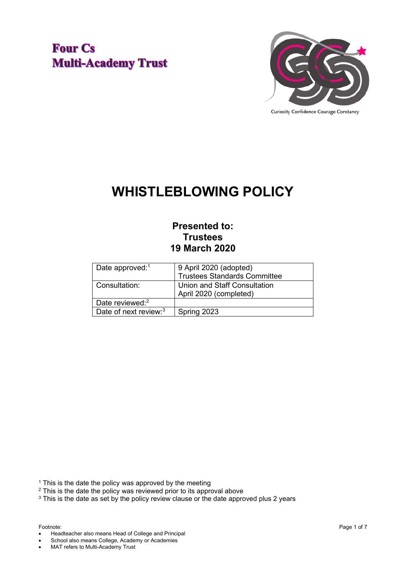## **Four Cs Multi-Academy Trust**



# **WHISTLEBLOWING POLICY**

## **Presented to: Trustees 19 March 2020**

| Date approved: <sup>1</sup> | 9 April 2020 (adopted)<br><b>Trustees Standards Committee</b> |
|-----------------------------|---------------------------------------------------------------|
| Consultation:               | Union and Staff Consultation<br>April 2020 (completed)        |
| Date reviewed: <sup>2</sup> |                                                               |
| Date of next review: $3$    | Spring 2023                                                   |

<sup>1</sup> This is the date the policy was approved by the meeting

<sup>2</sup> This is the date the policy was reviewed prior to its approval above

 $3$  This is the date as set by the policy review clause or the date approved plus 2 years

• Headteacher also means Head of College and Principal

School also means College, Academy or Academies

• MAT refers to Multi-Academy Trust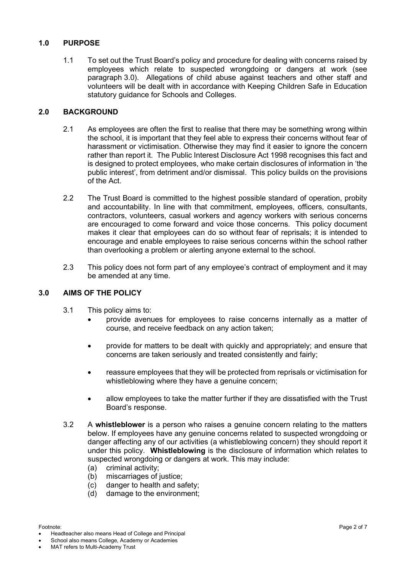### **1.0 PURPOSE**

1.1 To set out the Trust Board's policy and procedure for dealing with concerns raised by employees which relate to suspected wrongdoing or dangers at work (see paragraph 3.0). Allegations of child abuse against teachers and other staff and volunteers will be dealt with in accordance with Keeping Children Safe in Education statutory guidance for Schools and Colleges.

### **2.0 BACKGROUND**

- 2.1 As employees are often the first to realise that there may be something wrong within the school, it is important that they feel able to express their concerns without fear of harassment or victimisation. Otherwise they may find it easier to ignore the concern rather than report it. The Public Interest Disclosure Act 1998 recognises this fact and is designed to protect employees, who make certain disclosures of information in 'the public interest', from detriment and/or dismissal. This policy builds on the provisions of the Act.
- 2.2 The Trust Board is committed to the highest possible standard of operation, probity and accountability. In line with that commitment, employees, officers, consultants, contractors, volunteers, casual workers and agency workers with serious concerns are encouraged to come forward and voice those concerns. This policy document makes it clear that employees can do so without fear of reprisals; it is intended to encourage and enable employees to raise serious concerns within the school rather than overlooking a problem or alerting anyone external to the school.
- 2.3 This policy does not form part of any employee's contract of employment and it may be amended at any time.

#### **3.0 AIMS OF THE POLICY**

- 3.1 This policy aims to:
	- provide avenues for employees to raise concerns internally as a matter of course, and receive feedback on any action taken;
	- provide for matters to be dealt with quickly and appropriately; and ensure that concerns are taken seriously and treated consistently and fairly;
	- reassure employees that they will be protected from reprisals or victimisation for whistleblowing where they have a genuine concern;
	- allow employees to take the matter further if they are dissatisfied with the Trust Board's response.
- 3.2 A **whistleblower** is a person who raises a genuine concern relating to the matters below. If employees have any genuine concerns related to suspected wrongdoing or danger affecting any of our activities (a whistleblowing concern) they should report it under this policy. **Whistleblowing** is the disclosure of information which relates to suspected wrongdoing or dangers at work. This may include:
	- (a) criminal activity;
	- (b) miscarriages of justice;
	- (c) danger to health and safety;
	- (d) damage to the environment;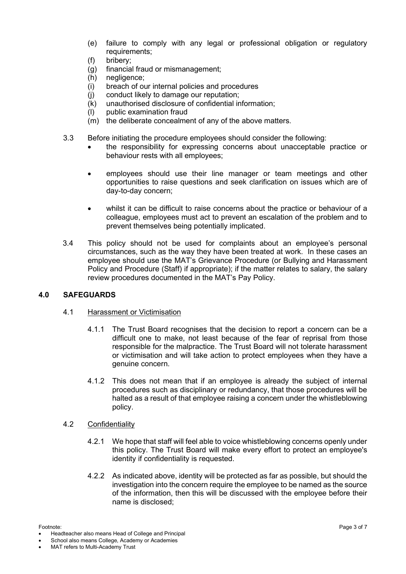- (e) failure to comply with any legal or professional obligation or regulatory requirements;
- (f) bribery;
- (g) financial fraud or mismanagement;
- (h) negligence;
- (i) breach of our internal policies and procedures
- $(j)$  conduct likely to damage our reputation;<br> $(k)$  unauthorised disclosure of confidential in
- unauthorised disclosure of confidential information;
- (l) public examination fraud
- (m) the deliberate concealment of any of the above matters.
- 3.3 Before initiating the procedure employees should consider the following:
	- the responsibility for expressing concerns about unacceptable practice or behaviour rests with all employees;
	- employees should use their line manager or team meetings and other opportunities to raise questions and seek clarification on issues which are of day-to-day concern;
	- whilst it can be difficult to raise concerns about the practice or behaviour of a colleague, employees must act to prevent an escalation of the problem and to prevent themselves being potentially implicated.
- 3.4 This policy should not be used for complaints about an employee's personal circumstances, such as the way they have been treated at work. In these cases an employee should use the MAT's Grievance Procedure (or Bullying and Harassment Policy and Procedure (Staff) if appropriate); if the matter relates to salary, the salary review procedures documented in the MAT's Pay Policy.

#### **4.0 SAFEGUARDS**

#### 4.1 Harassment or Victimisation

- 4.1.1 The Trust Board recognises that the decision to report a concern can be a difficult one to make, not least because of the fear of reprisal from those responsible for the malpractice. The Trust Board will not tolerate harassment or victimisation and will take action to protect employees when they have a genuine concern.
- 4.1.2 This does not mean that if an employee is already the subject of internal procedures such as disciplinary or redundancy, that those procedures will be halted as a result of that employee raising a concern under the whistleblowing policy.
- 4.2 Confidentiality
	- 4.2.1 We hope that staff will feel able to voice whistleblowing concerns openly under this policy. The Trust Board will make every effort to protect an employee's identity if confidentiality is requested.
	- 4.2.2 As indicated above, identity will be protected as far as possible, but should the investigation into the concern require the employee to be named as the source of the information, then this will be discussed with the employee before their name is disclosed;

<sup>•</sup> Headteacher also means Head of College and Principal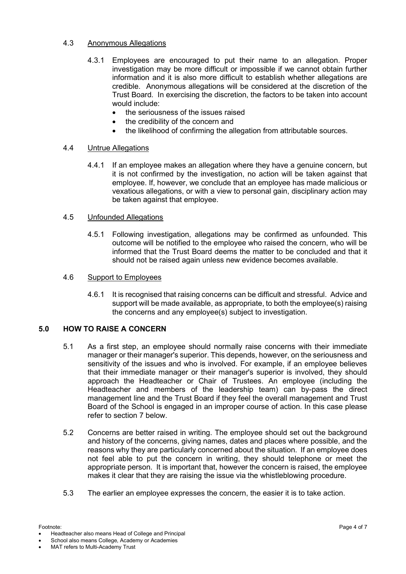### 4.3 Anonymous Allegations

- 4.3.1 Employees are encouraged to put their name to an allegation. Proper investigation may be more difficult or impossible if we cannot obtain further information and it is also more difficult to establish whether allegations are credible. Anonymous allegations will be considered at the discretion of the Trust Board. In exercising the discretion, the factors to be taken into account would include:
	- the seriousness of the issues raised
	- the credibility of the concern and
	- the likelihood of confirming the allegation from attributable sources.

### 4.4 Untrue Allegations

4.4.1 If an employee makes an allegation where they have a genuine concern, but it is not confirmed by the investigation, no action will be taken against that employee. If, however, we conclude that an employee has made malicious or vexatious allegations, or with a view to personal gain, disciplinary action may be taken against that employee.

### 4.5 Unfounded Allegations

4.5.1 Following investigation, allegations may be confirmed as unfounded. This outcome will be notified to the employee who raised the concern, who will be informed that the Trust Board deems the matter to be concluded and that it should not be raised again unless new evidence becomes available.

#### 4.6 Support to Employees

4.6.1 It is recognised that raising concerns can be difficult and stressful. Advice and support will be made available, as appropriate, to both the employee(s) raising the concerns and any employee(s) subject to investigation.

### **5.0 HOW TO RAISE A CONCERN**

- 5.1 As a first step, an employee should normally raise concerns with their immediate manager or their manager's superior. This depends, however, on the seriousness and sensitivity of the issues and who is involved. For example, if an employee believes that their immediate manager or their manager's superior is involved, they should approach the Headteacher or Chair of Trustees. An employee (including the Headteacher and members of the leadership team) can by-pass the direct management line and the Trust Board if they feel the overall management and Trust Board of the School is engaged in an improper course of action. In this case please refer to section 7 below.
- 5.2 Concerns are better raised in writing. The employee should set out the background and history of the concerns, giving names, dates and places where possible, and the reasons why they are particularly concerned about the situation. If an employee does not feel able to put the concern in writing, they should telephone or meet the appropriate person. It is important that, however the concern is raised, the employee makes it clear that they are raising the issue via the whistleblowing procedure.
- 5.3 The earlier an employee expresses the concern, the easier it is to take action.

<sup>•</sup> Headteacher also means Head of College and Principal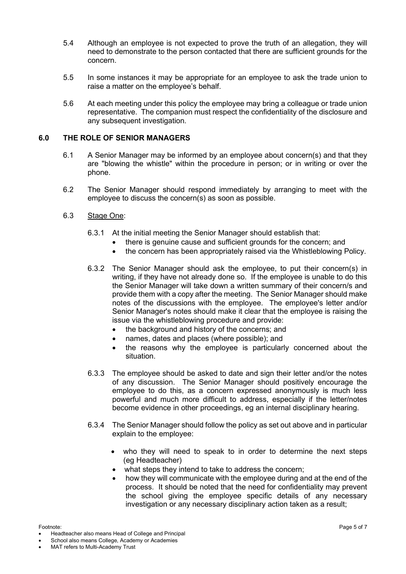- 5.4 Although an employee is not expected to prove the truth of an allegation, they will need to demonstrate to the person contacted that there are sufficient grounds for the concern.
- 5.5 In some instances it may be appropriate for an employee to ask the trade union to raise a matter on the employee's behalf.
- 5.6 At each meeting under this policy the employee may bring a colleague or trade union representative. The companion must respect the confidentiality of the disclosure and any subsequent investigation.

#### **6.0 THE ROLE OF SENIOR MANAGERS**

- 6.1 A Senior Manager may be informed by an employee about concern(s) and that they are "blowing the whistle" within the procedure in person; or in writing or over the phone.
- 6.2 The Senior Manager should respond immediately by arranging to meet with the employee to discuss the concern(s) as soon as possible.

#### 6.3 Stage One:

- 6.3.1 At the initial meeting the Senior Manager should establish that:
	- there is genuine cause and sufficient grounds for the concern; and
	- the concern has been appropriately raised via the Whistleblowing Policy.
- 6.3.2 The Senior Manager should ask the employee, to put their concern(s) in writing, if they have not already done so. If the employee is unable to do this the Senior Manager will take down a written summary of their concern/s and provide them with a copy after the meeting. The Senior Manager should make notes of the discussions with the employee. The employee's letter and/or Senior Manager's notes should make it clear that the employee is raising the issue via the whistleblowing procedure and provide:
	- the background and history of the concerns; and
	- names, dates and places (where possible); and
	- the reasons why the employee is particularly concerned about the situation.
- 6.3.3 The employee should be asked to date and sign their letter and/or the notes of any discussion. The Senior Manager should positively encourage the employee to do this, as a concern expressed anonymously is much less powerful and much more difficult to address, especially if the letter/notes become evidence in other proceedings, eg an internal disciplinary hearing.
- 6.3.4 The Senior Manager should follow the policy as set out above and in particular explain to the employee:
	- who they will need to speak to in order to determine the next steps (eg Headteacher)
	- what steps they intend to take to address the concern:
	- how they will communicate with the employee during and at the end of the process. It should be noted that the need for confidentiality may prevent the school giving the employee specific details of any necessary investigation or any necessary disciplinary action taken as a result;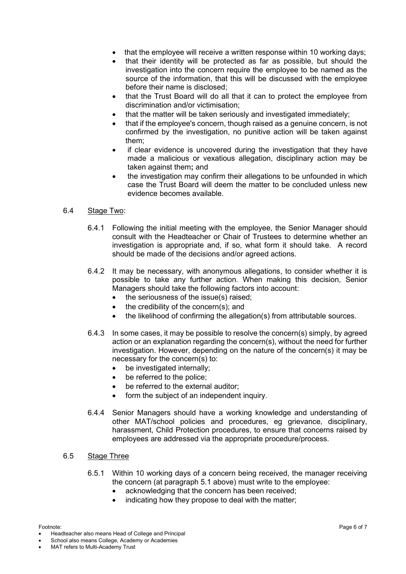- that the employee will receive a written response within 10 working days;
- that their identity will be protected as far as possible, but should the investigation into the concern require the employee to be named as the source of the information, that this will be discussed with the employee before their name is disclosed;
- that the Trust Board will do all that it can to protect the employee from discrimination and/or victimisation;
- that the matter will be taken seriously and investigated immediately;
- that if the employee's concern, though raised as a genuine concern, is not confirmed by the investigation, no punitive action will be taken against them;
- if clear evidence is uncovered during the investigation that they have made a malicious or vexatious allegation, disciplinary action may be taken against them**;** and
- the investigation may confirm their allegations to be unfounded in which case the Trust Board will deem the matter to be concluded unless new evidence becomes available.

### 6.4 Stage Two:

- 6.4.1 Following the initial meeting with the employee, the Senior Manager should consult with the Headteacher or Chair of Trustees to determine whether an investigation is appropriate and, if so, what form it should take. A record should be made of the decisions and/or agreed actions.
- 6.4.2 It may be necessary, with anonymous allegations, to consider whether it is possible to take any further action. When making this decision, Senior Managers should take the following factors into account:
	- the seriousness of the issue(s) raised;
	- the credibility of the concern(s); and
	- the likelihood of confirming the allegation(s) from attributable sources.
- 6.4.3 In some cases, it may be possible to resolve the concern(s) simply, by agreed action or an explanation regarding the concern(s), without the need for further investigation. However, depending on the nature of the concern(s) it may be necessary for the concern(s) to:
	- be investigated internally;
	- be referred to the police:
	- be referred to the external auditor:
	- form the subject of an independent inquiry.
- 6.4.4 Senior Managers should have a working knowledge and understanding of other MAT/school policies and procedures, eg grievance, disciplinary, harassment, Child Protection procedures, to ensure that concerns raised by employees are addressed via the appropriate procedure/process.

#### 6.5 Stage Three

- 6.5.1 Within 10 working days of a concern being received, the manager receiving the concern (at paragraph 5.1 above) must write to the employee:
	- acknowledging that the concern has been received;
	- indicating how they propose to deal with the matter;